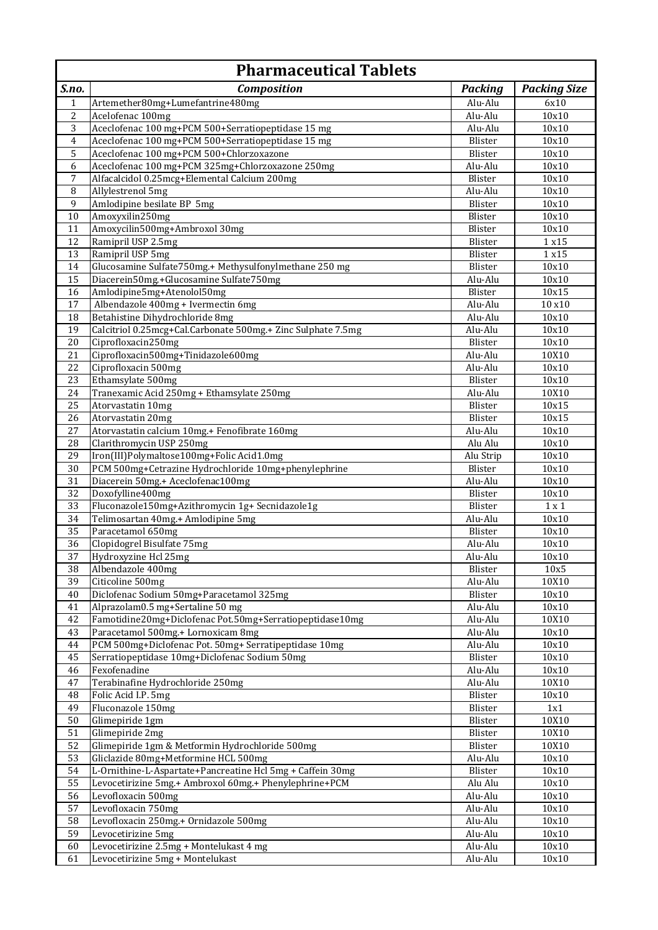|                     | <b>Pharmaceutical Tablets</b>                                     |                    |                     |  |
|---------------------|-------------------------------------------------------------------|--------------------|---------------------|--|
| S.no.               | <b>Composition</b>                                                | <b>Packing</b>     | <b>Packing Size</b> |  |
| $\mathbf{1}$        | Artemether80mg+Lumefantrine480mg                                  | Alu-Alu            | 6x10                |  |
| 2                   | Acelofenac 100mg                                                  | Alu-Alu            | 10x10               |  |
| $\overline{3}$      | Aceclofenac 100 mg+PCM 500+Serratiopeptidase 15 mg                | Alu-Alu            | 10x10               |  |
| $\overline{4}$      | Aceclofenac 100 mg+PCM 500+Serratiopeptidase 15 mg                | Blister            | 10x10               |  |
| 5                   | Aceclofenac 100 mg+PCM 500+Chlorzoxazone                          | Blister            | 10x10               |  |
| 6                   | Aceclofenac 100 mg+PCM 325mg+Chlorzoxazone 250mg                  | Alu-Alu            | 10x10               |  |
| $\overline{7}$<br>8 | Alfacalcidol 0.25mcg+Elemental Calcium 200mg<br>Allylestrenol 5mg | Blister<br>Alu-Alu | 10x10<br>10x10      |  |
| $\boldsymbol{9}$    | Amlodipine besilate BP 5mg                                        | Blister            | 10x10               |  |
| $10\,$              | Amoxyxilin250mg                                                   | Blister            | 10x10               |  |
| 11                  | Amoxycilin500mg+Ambroxol 30mg                                     | Blister            | 10x10               |  |
| 12                  | Ramipril USP 2.5mg                                                | Blister            | 1 x 1 5             |  |
| 13                  | Ramipril USP 5mg                                                  | Blister            | 1 x 15              |  |
| 14                  | Glucosamine Sulfate750mg.+ Methysulfonylmethane 250 mg            | <b>Blister</b>     | 10x10               |  |
| 15                  | Diacerein50mg.+Glucosamine Sulfate750mg                           | Alu-Alu            | 10x10               |  |
| 16                  | Amlodipine5mg+Atenolol50mg                                        | Blister            | 10x15               |  |
| 17                  | Albendazole 400mg + Ivermectin 6mg                                | Alu-Alu            | 10 x10              |  |
| 18                  | Betahistine Dihydrochloride 8mg                                   | Alu-Alu            | 10x10               |  |
| 19                  | Calcitriol 0.25mcg+Cal.Carbonate 500mg.+ Zinc Sulphate 7.5mg      | Alu-Alu            | 10x10               |  |
| 20                  | Ciprofloxacin250mg                                                | Blister            | 10x10               |  |
| 21                  | Ciprofloxacin500mg+Tinidazole600mg<br>Ciprofloxacin 500mg         | Alu-Alu            | 10X10               |  |
| 22<br>23            | Ethamsylate 500mg                                                 | Alu-Alu<br>Blister | 10x10<br>10x10      |  |
| 24                  | Tranexamic Acid 250mg + Ethamsylate 250mg                         | Alu-Alu            | 10X10               |  |
| 25                  | Atorvastatin 10mg                                                 | Blister            | 10x15               |  |
| 26                  | Atorvastatin 20mg                                                 | Blister            | 10x15               |  |
| 27                  | Atorvastatin calcium 10mg.+ Fenofibrate 160mg                     | Alu-Alu            | 10x10               |  |
| 28                  | Clarithromycin USP 250mg                                          | Alu Alu            | 10x10               |  |
| 29                  | Iron(III)Polymaltose100mg+Folic Acid1.0mg                         | Alu Strip          | 10x10               |  |
| 30                  | PCM 500mg+Cetrazine Hydrochloride 10mg+phenylephrine              | Blister            | 10x10               |  |
| 31                  | Diacerein 50mg.+ Aceclofenac100mg                                 | Alu-Alu            | 10x10               |  |
| 32                  | Doxofylline400mg                                                  | Blister            | 10x10               |  |
| 33                  | Fluconazole150mg+Azithromycin 1g+ Secnidazole1g                   | Blister            | $1 \times 1$        |  |
| 34                  | Telimosartan 40mg.+ Amlodipine 5mg                                | Alu-Alu            | 10x10               |  |
| 35<br>36            | Paracetamol 650mg                                                 | Blister<br>Alu-Alu | 10x10<br>10x10      |  |
| 37                  | Clopidogrel Bisulfate 75mg<br>Hydroxyzine Hcl 25mg                | Alu-Alu            | 10x10               |  |
| 38                  | Albendazole 400mg                                                 | Blister            | 10x5                |  |
| 39                  | Citicoline 500mg                                                  | Alu-Alu            | 10X10               |  |
| 40                  | Diclofenac Sodium 50mg+Paracetamol 325mg                          | Blister            | 10x10               |  |
| 41                  | Alprazolam0.5 mg+Sertaline 50 mg                                  | Alu-Alu            | 10x10               |  |
| 42                  | Famotidine20mg+Diclofenac Pot.50mg+Serratiopeptidase10mg          | Alu-Alu            | 10X10               |  |
| 43                  | Paracetamol 500mg.+ Lornoxicam 8mg                                | Alu-Alu            | 10x10               |  |
| 44                  | PCM 500mg+Diclofenac Pot. 50mg+ Serratipeptidase 10mg             | Alu-Alu            | 10x10               |  |
| 45                  | Serratiopeptidase 10mg+Diclofenac Sodium 50mg                     | Blister            | 10x10               |  |
| 46                  | Fexofenadine                                                      | Alu-Alu            | 10x10               |  |
| 47                  | Terabinafine Hydrochloride 250mg                                  | Alu-Alu            | 10X10               |  |
| 48                  | Folic Acid I.P. 5mg                                               | Blister            | 10x10               |  |
| 49                  | Fluconazole 150mg                                                 | Blister            | 1x1                 |  |
| 50<br>51            | Glimepiride 1gm<br>Glimepiride 2mg                                | Blister<br>Blister | 10X10<br>10X10      |  |
| 52                  | Glimepiride 1gm & Metformin Hydrochloride 500mg                   | Blister            | 10X10               |  |
| 53                  | Gliclazide 80mg+Metformine HCL 500mg                              | Alu-Alu            | 10x10               |  |
| 54                  | L-Ornithine-L-Aspartate+Pancreatine Hcl 5mg + Caffein 30mg        | Blister            | 10x10               |  |
| 55                  | Levocetirizine 5mg.+ Ambroxol 60mg.+ Phenylephrine+PCM            | Alu Alu            | 10x10               |  |
| 56                  | Levofloxacin 500mg                                                | Alu-Alu            | 10x10               |  |
| 57                  | Levofloxacin 750mg                                                | Alu-Alu            | 10x10               |  |
| 58                  | Levofloxacin 250mg.+ Ornidazole 500mg                             | Alu-Alu            | 10x10               |  |
| 59                  | Levocetirizine 5mg                                                | Alu-Alu            | 10x10               |  |
| 60                  | Levocetirizine 2.5mg + Montelukast 4 mg                           | Alu-Alu            | 10x10               |  |
| 61                  | Levocetirizine 5mg + Montelukast                                  | Alu-Alu            | 10x10               |  |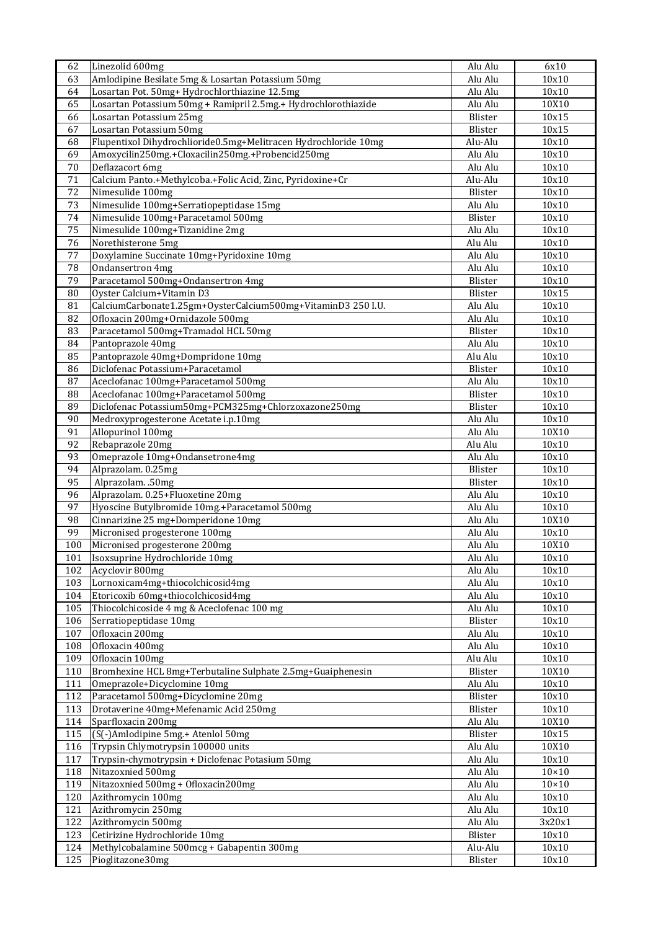| 62         | Linezolid 600mg                                                                                  | Alu Alu            | 6x10                         |
|------------|--------------------------------------------------------------------------------------------------|--------------------|------------------------------|
| 63         | Amlodipine Besilate 5mg & Losartan Potassium 50mg                                                | Alu Alu            | 10x10                        |
| 64         | Losartan Pot. 50mg+ Hydrochlorthiazine 12.5mg                                                    | Alu Alu            | 10x10                        |
| 65         | Losartan Potassium 50mg + Ramipril 2.5mg.+ Hydrochlorothiazide                                   | Alu Alu            | 10X10                        |
| 66         | Losartan Potassium 25mg                                                                          | Blister            | 10x15                        |
| 67         | Losartan Potassium 50mg                                                                          | Blister            | 10x15                        |
| 68         | Flupentixol Dihydrochlioride0.5mg+Melitracen Hydrochloride 10mg                                  | Alu-Alu            | 10x10                        |
| 69         | Amoxycilin250mg.+Cloxacilin250mg.+Probencid250mg                                                 | Alu Alu            | 10x10                        |
| $70\,$     | Deflazacort 6mg                                                                                  | Alu Alu            | 10x10                        |
| 71         | Calcium Panto.+Methylcoba.+Folic Acid, Zinc, Pyridoxine+Cr                                       | Alu-Alu            | 10x10                        |
| 72         | Nimesulide 100mg                                                                                 | Blister            | 10x10                        |
| 73         | Nimesulide 100mg+Serratiopeptidase 15mg                                                          | Alu Alu            | 10x10                        |
| 74         | Nimesulide 100mg+Paracetamol 500mg                                                               | Blister            | 10x10                        |
| 75         | Nimesulide 100mg+Tizanidine 2mg                                                                  | Alu Alu            | 10x10                        |
| 76         | Norethisterone 5mg                                                                               | Alu Alu            | 10x10                        |
| 77         | Doxylamine Succinate 10mg+Pyridoxine 10mg                                                        | Alu Alu            | 10x10                        |
| 78         | <b>Ondansertron 4mg</b>                                                                          | Alu Alu            | 10x10                        |
| 79         | Paracetamol 500mg+Ondansertron 4mg                                                               | Blister            | 10x10                        |
| ${\bf 80}$ | Oyster Calcium+Vitamin D3                                                                        | Blister            | 10x15                        |
| 81<br>82   | CalciumCarbonate1.25gm+OysterCalcium500mg+VitaminD3 250 I.U.<br>Ofloxacin 200mg+Ornidazole 500mg | Alu Alu<br>Alu Alu | 10x10<br>10x10               |
| 83         | Paracetamol 500mg+Tramadol HCL 50mg                                                              | Blister            | 10x10                        |
| 84         | Pantoprazole 40mg                                                                                | Alu Alu            | 10x10                        |
| 85         | Pantoprazole 40mg+Dompridone 10mg                                                                | Alu Alu            | 10x10                        |
| 86         | Diclofenac Potassium+Paracetamol                                                                 | Blister            | 10x10                        |
| 87         | Aceclofanac 100mg+Paracetamol 500mg                                                              | Alu Alu            | 10x10                        |
| 88         | Aceclofanac 100mg+Paracetamol 500mg                                                              | Blister            | 10x10                        |
| 89         | Diclofenac Potassium50mg+PCM325mg+Chlorzoxazone250mg                                             | Blister            | 10x10                        |
| 90         | Medroxyprogesterone Acetate i.p.10mg                                                             | Alu Alu            | 10x10                        |
| 91         | Allopurinol 100mg                                                                                | Alu Alu            | 10X10                        |
| 92         | Rebaprazole 20mg                                                                                 | Alu Alu            | 10x10                        |
| 93         | Omeprazole 10mg+Ondansetrone4mg                                                                  | Alu Alu            | 10x10                        |
| 94         | Alprazolam. 0.25mg                                                                               | Blister            | 10x10                        |
| 95         | Alprazolam. .50mg                                                                                | Blister            | 10x10                        |
| 96         | Alprazolam. 0.25+Fluoxetine 20mg                                                                 | Alu Alu            | 10x10                        |
| 97         | Hyoscine Butylbromide 10mg.+Paracetamol 500mg                                                    | Alu Alu            | 10x10                        |
| 98         | Cinnarizine 25 mg+Domperidone 10mg                                                               | Alu Alu            | 10X10                        |
| 99         | Micronised progesterone 100mg                                                                    | Alu Alu            | 10x10                        |
| 100        | Micronised progesterone 200mg                                                                    | Alu Alu            | 10X10                        |
| 101        | Isoxsuprine Hydrochloride 10mg                                                                   | Alu Alu            | 10x10                        |
| 102        | Acyclovir 800mg                                                                                  | Alu Alu            | 10x10                        |
| 103        | Lornoxicam4mg+thiocolchicosid4mg                                                                 | Alu Alu            | 10x10                        |
| 104        | Etoricoxib 60mg+thiocolchicosid4mg                                                               | Alu Alu            | $\overline{10x10}$           |
| 105        | Thiocolchicoside 4 mg & Aceclofenac 100 mg                                                       | Alu Alu            | 10x10                        |
| 106        | Serratiopeptidase 10mg                                                                           | Blister            | 10x10                        |
| 107        | Ofloxacin 200mg                                                                                  | Alu Alu            | 10x10                        |
| 108        | Ofloxacin 400mg                                                                                  | Alu Alu            | 10x10                        |
| 109        | Ofloxacin 100mg                                                                                  | Alu Alu            | 10x10                        |
| 110        | Bromhexine HCL 8mg+Terbutaline Sulphate 2.5mg+Guaiphenesin                                       | Blister            | 10X10                        |
| 111        | Omeprazole+Dicyclomine 10mg                                                                      | Alu Alu            | 10x10                        |
| 112        | Paracetamol 500mg+Dicyclomine 20mg                                                               | Blister            | 10x10                        |
| 113        | Drotaverine 40mg+Mefenamic Acid 250mg                                                            | Blister            | 10x10                        |
| 114        | Sparfloxacin 200mg                                                                               | Alu Alu            | 10X10                        |
| 115        | (S(-)Amlodipine 5mg.+ Atenlol 50mg                                                               | Blister            | 10x15                        |
| 116<br>117 | Trypsin Chlymotrypsin 100000 units<br>Trypsin-chymotrypsin + Diclofenac Potasium 50mg            | Alu Alu<br>Alu Alu | 10X10<br>10x10               |
| 118        | Nitazoxnied 500mg                                                                                | Alu Alu            |                              |
| 119        | Nitazoxnied 500mg + Ofloxacin200mg                                                               | Alu Alu            | $10\times10$<br>$10\times10$ |
| 120        | Azithromycin 100mg                                                                               | Alu Alu            | $10x10$                      |
| 121        | Azithromycin 250mg                                                                               | Alu Alu            | 10x10                        |
| 122        | Azithromycin 500mg                                                                               | Alu Alu            | 3x20x1                       |
| 123        | Cetirizine Hydrochloride 10mg                                                                    | Blister            | $10x10$                      |
| 124        | Methylcobalamine 500mcg + Gabapentin 300mg                                                       | Alu-Alu            | 10x10                        |
| 125        | Pioglitazone30mg                                                                                 | Blister            | 10x10                        |
|            |                                                                                                  |                    |                              |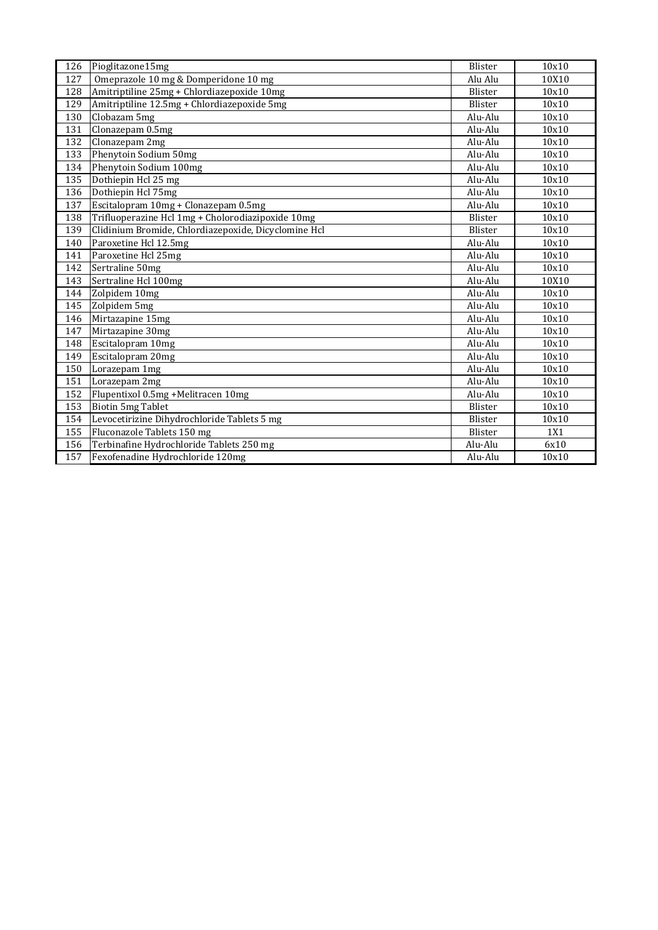| 126              | Pioglitazone15mg                                     | Blister | 10x10 |
|------------------|------------------------------------------------------|---------|-------|
| $\overline{127}$ | Omeprazole 10 mg & Domperidone 10 mg                 | Alu Alu | 10X10 |
| 128              | Amitriptiline 25mg + Chlordiazepoxide 10mg           | Blister | 10x10 |
| 129              | Amitriptiline 12.5mg + Chlordiazepoxide 5mg          | Blister | 10x10 |
| 130              | Clobazam 5mg                                         | Alu-Alu | 10x10 |
| 131              | Clonazepam 0.5mg                                     | Alu-Alu | 10x10 |
| 132              | Clonazepam 2mg                                       | Alu-Alu | 10x10 |
| 133              | Phenytoin Sodium 50mg                                | Alu-Alu | 10x10 |
| 134              | Phenytoin Sodium 100mg                               | Alu-Alu | 10x10 |
| 135              | Dothiepin Hcl 25 mg                                  | Alu-Alu | 10x10 |
| 136              | Dothiepin Hcl 75mg                                   | Alu-Alu | 10x10 |
| 137              | Escitalopram 10mg + Clonazepam 0.5mg                 | Alu-Alu | 10x10 |
| 138              | Trifluoperazine Hcl 1mg + Cholorodiazipoxide 10mg    | Blister | 10x10 |
| 139              | Clidinium Bromide, Chlordiazepoxide, Dicyclomine Hcl | Blister | 10x10 |
| 140              | Paroxetine Hcl 12.5mg                                | Alu-Alu | 10x10 |
| 141              | Paroxetine Hcl 25mg                                  | Alu-Alu | 10x10 |
| 142              | Sertraline 50mg                                      | Alu-Alu | 10x10 |
| 143              | Sertraline Hcl 100mg                                 | Alu-Alu | 10X10 |
| 144              | Zolpidem 10mg                                        | Alu-Alu | 10x10 |
| 145              | Zolpidem 5mg                                         | Alu-Alu | 10x10 |
| 146              | Mirtazapine 15mg                                     | Alu-Alu | 10x10 |
| 147              | Mirtazapine 30mg                                     | Alu-Alu | 10x10 |
| 148              | Escitalopram 10mg                                    | Alu-Alu | 10x10 |
| 149              | Escitalopram 20mg                                    | Alu-Alu | 10x10 |
| 150              | Lorazepam 1mg                                        | Alu-Alu | 10x10 |
| 151              | Lorazepam 2mg                                        | Alu-Alu | 10x10 |
| 152              | Flupentixol 0.5mg +Melitracen 10mg                   | Alu-Alu | 10x10 |
| 153              | <b>Biotin 5mg Tablet</b>                             | Blister | 10x10 |
| 154              | Levocetirizine Dihydrochloride Tablets 5 mg          | Blister | 10x10 |
| 155              | Fluconazole Tablets 150 mg                           | Blister | 1X1   |
| 156              | Terbinafine Hydrochloride Tablets 250 mg             | Alu-Alu | 6x10  |
| 157              | Fexofenadine Hydrochloride 120mg                     | Alu-Alu | 10x10 |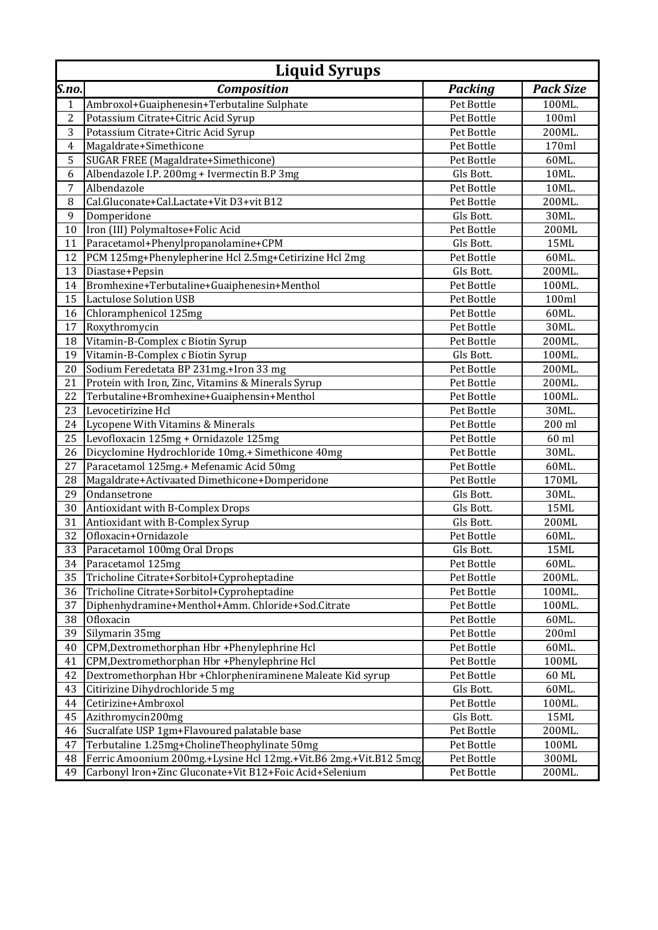|                | <b>Liquid Syrups</b>                                              |                |                  |  |  |
|----------------|-------------------------------------------------------------------|----------------|------------------|--|--|
| S.no.          | <b>Composition</b>                                                | <b>Packing</b> | <b>Pack Size</b> |  |  |
| 1              | Ambroxol+Guaiphenesin+Terbutaline Sulphate                        | Pet Bottle     | 100ML.           |  |  |
| $\overline{2}$ | Potassium Citrate+Citric Acid Syrup                               | Pet Bottle     | 100ml            |  |  |
| 3              | Potassium Citrate+Citric Acid Syrup                               | Pet Bottle     | 200ML.           |  |  |
| $\overline{4}$ | Magaldrate+Simethicone                                            | Pet Bottle     | 170ml            |  |  |
| 5              | SUGAR FREE (Magaldrate+Simethicone)                               | Pet Bottle     | 60ML.            |  |  |
| 6              | Albendazole I.P. 200mg + Ivermectin B.P 3mg                       | Gls Bott.      | 10ML.            |  |  |
| $\overline{7}$ | Albendazole                                                       | Pet Bottle     | 10ML.            |  |  |
| 8              | Cal.Gluconate+Cal.Lactate+Vit D3+vit B12                          | Pet Bottle     | 200ML.           |  |  |
| 9              | Domperidone                                                       | Gls Bott.      | 30ML.            |  |  |
| 10             | Iron (III) Polymaltose+Folic Acid                                 | Pet Bottle     | 200ML            |  |  |
| 11             | Paracetamol+Phenylpropanolamine+CPM                               | Gls Bott.      | <b>15ML</b>      |  |  |
| 12             | PCM 125mg+Phenylepherine Hcl 2.5mg+Cetirizine Hcl 2mg             | Pet Bottle     | 60ML.            |  |  |
| 13             | Diastase+Pepsin                                                   | Gls Bott.      | 200ML.           |  |  |
| 14             | Bromhexine+Terbutaline+Guaiphenesin+Menthol                       | Pet Bottle     | 100ML.           |  |  |
| 15             | <b>Lactulose Solution USB</b>                                     | Pet Bottle     | 100ml            |  |  |
| 16             | Chloramphenicol 125mg                                             | Pet Bottle     | 60ML.            |  |  |
| 17             | Roxythromycin                                                     | Pet Bottle     | 30ML.            |  |  |
| 18             | Vitamin-B-Complex c Biotin Syrup                                  | Pet Bottle     | 200ML.           |  |  |
| 19             | Vitamin-B-Complex c Biotin Syrup                                  | Gls Bott.      | 100ML.           |  |  |
| 20             | Sodium Feredetata BP 231mg.+Iron 33 mg                            | Pet Bottle     | 200ML.           |  |  |
| 21             | Protein with Iron, Zinc, Vitamins & Minerals Syrup                | Pet Bottle     | 200ML.           |  |  |
| 22             | Terbutaline+Bromhexine+Guaiphensin+Menthol                        | Pet Bottle     | 100ML.           |  |  |
| 23             | Levocetirizine Hcl                                                | Pet Bottle     | 30ML.            |  |  |
| 24             | Lycopene With Vitamins & Minerals                                 | Pet Bottle     | 200 ml           |  |  |
| 25             | Levofloxacin 125mg + Ornidazole 125mg                             | Pet Bottle     | 60 ml            |  |  |
| 26             | Dicyclomine Hydrochloride 10mg.+ Simethicone 40mg                 | Pet Bottle     | 30ML.            |  |  |
| 27             | Paracetamol 125mg.+ Mefenamic Acid 50mg                           | Pet Bottle     | 60ML.            |  |  |
| 28             | Magaldrate+Activaated Dimethicone+Domperidone                     | Pet Bottle     | 170ML            |  |  |
| 29             | Ondansetrone                                                      | Gls Bott.      | 30ML.            |  |  |
| 30             | Antioxidant with B-Complex Drops                                  | Gls Bott.      | <b>15ML</b>      |  |  |
| 31             | Antioxidant with B-Complex Syrup                                  | Gls Bott.      | 200ML            |  |  |
| 32             | Ofloxacin+Ornidazole                                              | Pet Bottle     | 60ML.            |  |  |
| 33             | Paracetamol 100mg Oral Drops                                      | Gls Bott.      | 15ML             |  |  |
| 34             | Paracetamol 125mg                                                 | Pet Bottle     | 60ML.            |  |  |
| 35             | Tricholine Citrate+Sorbitol+Cyproheptadine                        | Pet Bottle     | 200ML.           |  |  |
| 36             | Tricholine Citrate+Sorbitol+Cyproheptadine                        | Pet Bottle     | 100ML.           |  |  |
| 37             | Diphenhydramine+Menthol+Amm. Chloride+Sod.Citrate                 | Pet Bottle     | 100ML.           |  |  |
| 38             | Ofloxacin                                                         | Pet Bottle     | 60ML.            |  |  |
| 39             | Silymarin 35mg                                                    | Pet Bottle     | 200ml            |  |  |
| 40             | CPM, Dextromethorphan Hbr + Phenylephrine Hcl                     | Pet Bottle     | 60ML.            |  |  |
| 41             | CPM, Dextromethorphan Hbr + Phenylephrine Hcl                     | Pet Bottle     | 100ML            |  |  |
| 42             | Dextromethorphan Hbr + Chlorpheniraminene Maleate Kid syrup       | Pet Bottle     | 60 ML            |  |  |
| 43             | Citirizine Dihydrochloride 5 mg                                   | Gls Bott.      | 60ML.            |  |  |
| 44             | Cetirizine+Ambroxol                                               | Pet Bottle     | 100ML.           |  |  |
| 45             | Azithromycin200mg                                                 | Gls Bott.      | 15ML             |  |  |
| 46             | Sucralfate USP 1gm+Flavoured palatable base                       | Pet Bottle     | 200ML.           |  |  |
| 47             | Terbutaline 1.25mg+CholineTheophylinate 50mg                      | Pet Bottle     | 100ML            |  |  |
| 48             | Ferric Amoonium 200mg.+Lysine Hcl 12mg.+Vit.B6 2mg.+Vit.B12 5mcg. | Pet Bottle     | 300ML            |  |  |
| 49             | Carbonyl Iron+Zinc Gluconate+Vit B12+Foic Acid+Selenium           | Pet Bottle     | 200ML.           |  |  |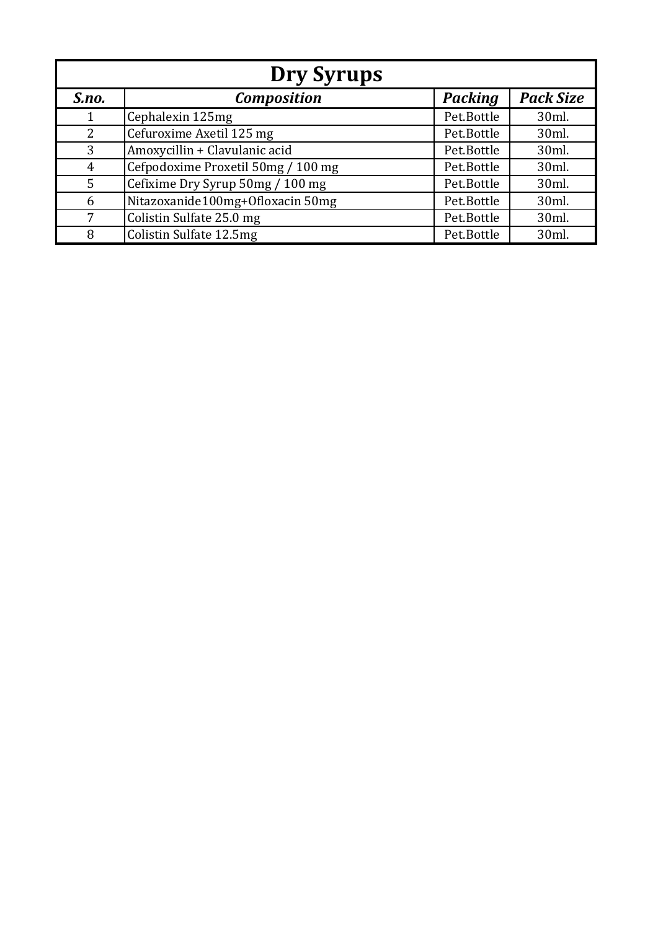|                | Dry Syrups                         |                |                  |  |  |  |
|----------------|------------------------------------|----------------|------------------|--|--|--|
| S.no.          | <b>Composition</b>                 | <b>Packing</b> | <b>Pack Size</b> |  |  |  |
|                | Cephalexin 125mg                   | Pet.Bottle     | 30ml.            |  |  |  |
| 2              | Cefuroxime Axetil 125 mg           | Pet.Bottle     | 30ml.            |  |  |  |
| 3              | Amoxycillin + Clavulanic acid      | Pet.Bottle     | 30ml.            |  |  |  |
| $\overline{4}$ | Cefpodoxime Proxetil 50mg / 100 mg | Pet.Bottle     | 30ml.            |  |  |  |
| 5              | Cefixime Dry Syrup 50mg / 100 mg   | Pet.Bottle     | 30ml.            |  |  |  |
| 6              | Nitazoxanide100mg+Ofloxacin 50mg   | Pet.Bottle     | 30ml.            |  |  |  |
| 7              | Colistin Sulfate 25.0 mg           | Pet.Bottle     | 30ml.            |  |  |  |
| 8              | Colistin Sulfate 12.5mg            | Pet.Bottle     | 30ml.            |  |  |  |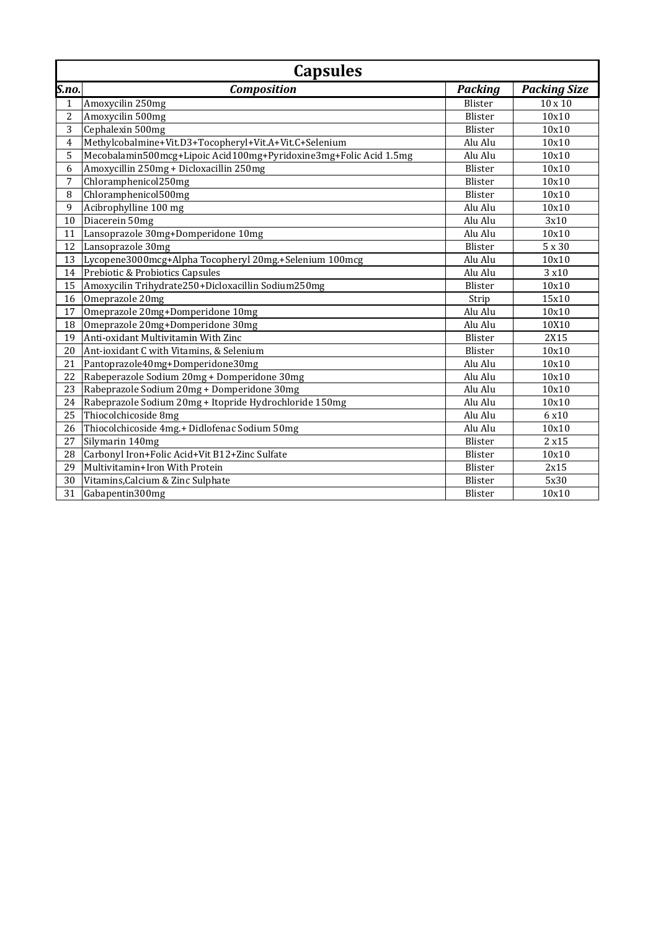|                | <b>Capsules</b>                                                   |                |                     |
|----------------|-------------------------------------------------------------------|----------------|---------------------|
| S.no.          | <b>Composition</b>                                                | <b>Packing</b> | <b>Packing Size</b> |
| $\mathbf{1}$   | Amoxycilin 250mg                                                  | Blister        | $10 \times 10$      |
| $\overline{c}$ | Amoxycilin 500mg                                                  | Blister        | 10x10               |
| 3              | Cephalexin 500mg                                                  | Blister        | 10x10               |
| 4              | Methylcobalmine+Vit.D3+Tocopheryl+Vit.A+Vit.C+Selenium            | Alu Alu        | 10x10               |
| 5              | Mecobalamin500mcg+Lipoic Acid100mg+Pyridoxine3mg+Folic Acid 1.5mg | Alu Alu        | 10x10               |
| 6              | Amoxycillin 250mg + Dicloxacillin 250mg                           | <b>Blister</b> | 10x10               |
| 7              | Chloramphenicol250mg                                              | Blister        | 10x10               |
| 8              | Chloramphenicol500mg                                              | Blister        | 10x10               |
| 9              | Acibrophylline 100 mg                                             | Alu Alu        | 10x10               |
| 10             | Diacerein 50mg                                                    | Alu Alu        | 3x10                |
| 11             | Lansoprazole 30mg+Domperidone 10mg                                | Alu Alu        | 10x10               |
| 12             | Lansoprazole 30mg                                                 | Blister        | 5 x 30              |
| 13             | Lycopene3000mcg+Alpha Tocopheryl 20mg.+Selenium 100mcg            | Alu Alu        | 10x10               |
| 14             | Prebiotic & Probiotics Capsules                                   | Alu Alu        | 3 x 10              |
| 15             | Amoxycilin Trihydrate250+Dicloxacillin Sodium250mg                | Blister        | 10x10               |
| 16             | Omeprazole 20mg                                                   | Strip          | 15x10               |
| 17             | Omeprazole 20mg+Domperidone 10mg                                  | Alu Alu        | 10x10               |
| 18             | Omeprazole 20mg+Domperidone 30mg                                  | Alu Alu        | 10X10               |
| 19             | Anti-oxidant Multivitamin With Zinc                               | Blister        | 2X15                |
| 20             | Ant-ioxidant C with Vitamins, & Selenium                          | Blister        | 10x10               |
| 21             | Pantoprazole40mg+Domperidone30mg                                  | Alu Alu        | 10x10               |
| 22             | Rabeperazole Sodium 20mg + Domperidone 30mg                       | Alu Alu        | 10x10               |
| 23             | Rabeprazole Sodium 20mg + Domperidone 30mg                        | Alu Alu        | 10x10               |
| 24             | Rabeprazole Sodium 20mg + Itopride Hydrochloride 150mg            | Alu Alu        | 10x10               |
| 25             | Thiocolchicoside 8mg                                              | Alu Alu        | 6 x10               |
| 26             | Thiocolchicoside 4mg.+ Didlofenac Sodium 50mg                     | Alu Alu        | 10x10               |
| 27             | Silymarin 140mg                                                   | Blister        | 2 x 15              |
| 28             | Carbonyl Iron+Folic Acid+Vit B12+Zinc Sulfate                     | Blister        | 10x10               |
| 29             | Multivitamin+Iron With Protein                                    | Blister        | 2x15                |
| 30             | Vitamins, Calcium & Zinc Sulphate                                 | Blister        | 5x30                |
| 31             | Gabapentin300mg                                                   | Blister        | 10x10               |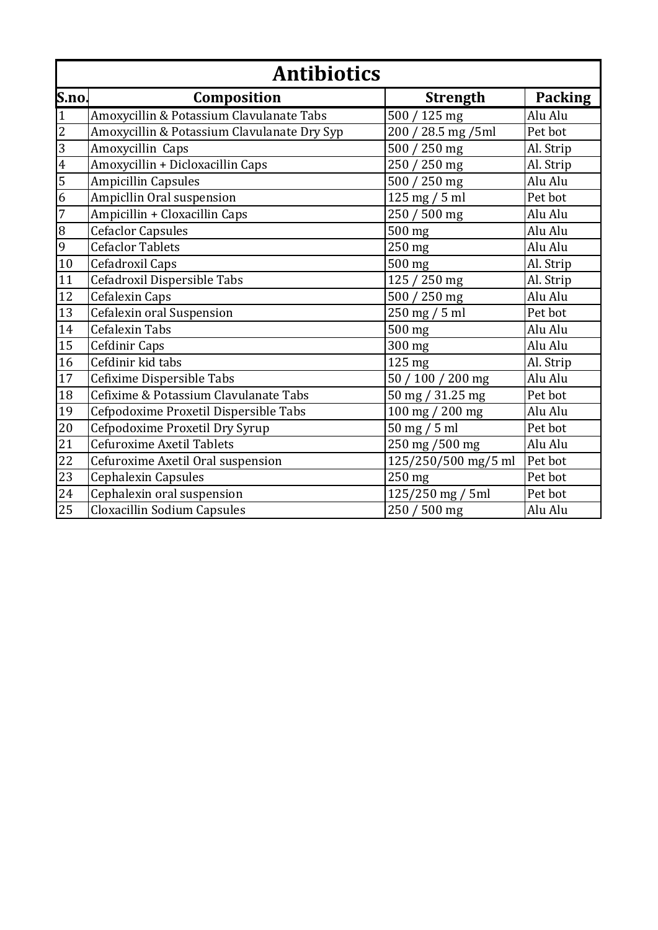|                 | <b>Antibiotics</b>                          |                     |                |  |
|-----------------|---------------------------------------------|---------------------|----------------|--|
| S.no.           | Composition                                 | <b>Strength</b>     | <b>Packing</b> |  |
| $\overline{1}$  | Amoxycillin & Potassium Clavulanate Tabs    | 500 / 125 mg        | Alu Alu        |  |
|                 | Amoxycillin & Potassium Clavulanate Dry Syp | 200 / 28.5 mg /5ml  | Pet bot        |  |
| $\frac{2}{3}$   | Amoxycillin Caps                            | 500 / 250 mg        | Al. Strip      |  |
|                 | Amoxycillin + Dicloxacillin Caps            | 250 / 250 mg        | Al. Strip      |  |
| $\frac{5}{6}$   | <b>Ampicillin Capsules</b>                  | 500 / 250 mg        | Alu Alu        |  |
|                 | Ampicllin Oral suspension                   | $125$ mg $/ 5$ ml   | Pet bot        |  |
| $\overline{7}$  | Ampicillin + Cloxacillin Caps               | 250 / 500 mg        | Alu Alu        |  |
| $\frac{8}{9}$   | <b>Cefaclor Capsules</b>                    | 500 mg              | Alu Alu        |  |
|                 | <b>Cefaclor Tablets</b>                     | 250 mg              | Alu Alu        |  |
| 10              | Cefadroxil Caps                             | 500 mg              | Al. Strip      |  |
| 11              | Cefadroxil Dispersible Tabs                 | 125 / 250 mg        | Al. Strip      |  |
| 12              | Cefalexin Caps                              | 500 / 250 mg        | Alu Alu        |  |
| 13              | Cefalexin oral Suspension                   | 250 mg / 5 ml       | Pet bot        |  |
| 14              | <b>Cefalexin Tabs</b>                       | $500$ mg            | Alu Alu        |  |
| 15              | Cefdinir Caps                               | 300 mg              | Alu Alu        |  |
| 16              | Cefdinir kid tabs                           | 125 mg              | Al. Strip      |  |
| 17              | Cefixime Dispersible Tabs                   | 50 / 100 / 200 mg   | Alu Alu        |  |
| 18              | Cefixime & Potassium Clavulanate Tabs       | 50 mg / 31.25 mg    | Pet bot        |  |
| 19              | Cefpodoxime Proxetil Dispersible Tabs       | 100 mg / 200 mg     | Alu Alu        |  |
| $\overline{20}$ | Cefpodoxime Proxetil Dry Syrup              | $50$ mg $/ 5$ ml    | Pet bot        |  |
| 21              | Cefuroxime Axetil Tablets                   | 250 mg /500 mg      | Alu Alu        |  |
| 22              | Cefuroxime Axetil Oral suspension           | 125/250/500 mg/5 ml | Pet bot        |  |
| 23              | Cephalexin Capsules                         | 250 mg              | Pet bot        |  |
| 24              | Cephalexin oral suspension                  | 125/250 mg / 5ml    | Pet bot        |  |
| 25              | Cloxacillin Sodium Capsules                 | 250 / 500 mg        | Alu Alu        |  |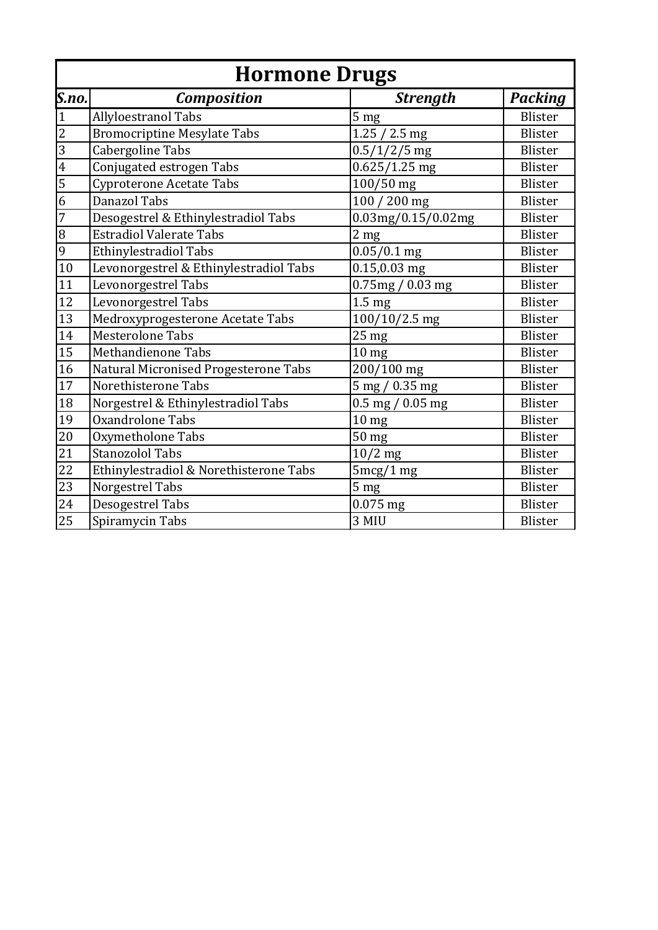|                 | <b>Hormone Drugs</b>                   |                     |                |  |
|-----------------|----------------------------------------|---------------------|----------------|--|
| S.no.           | <b>Composition</b>                     | <b>Strength</b>     | <b>Packing</b> |  |
| $\mathbf{1}$    | Allyloestranol Tabs                    | 5 <sub>mg</sub>     | <b>Blister</b> |  |
| $\overline{2}$  | <b>Bromocriptine Mesylate Tabs</b>     | $1.25 / 2.5$ mg     | <b>Blister</b> |  |
| $\overline{3}$  | Cabergoline Tabs                       | $0.5/1/2/5$ mg      | <b>Blister</b> |  |
| $\overline{4}$  | Conjugated estrogen Tabs               | $0.625/1.25$ mg     | <b>Blister</b> |  |
| 5               | <b>Cyproterone Acetate Tabs</b>        | 100/50 mg           | <b>Blister</b> |  |
| $\overline{6}$  | <b>Danazol Tabs</b>                    | 100 / 200 mg        | <b>Blister</b> |  |
| 7               | Desogestrel & Ethinylestradiol Tabs    | 0.03mg/0.15/0.02mg  | <b>Blister</b> |  |
| $\, 8$          | <b>Estradiol Valerate Tabs</b>         | 2 <sub>mg</sub>     | Blister        |  |
| 9               | <b>Ethinylestradiol Tabs</b>           | $0.05/0.1$ mg       | <b>Blister</b> |  |
| 10              | Levonorgestrel & Ethinylestradiol Tabs | $0.15, 0.03$ mg     | <b>Blister</b> |  |
| 11              | Levonorgestrel Tabs                    | 0.75mg / 0.03mg     | Blister        |  |
| 12              | Levonorgestrel Tabs                    | 1.5 <sub>mg</sub>   | <b>Blister</b> |  |
| 13              | Medroxyprogesterone Acetate Tabs       | $100/10/2.5$ mg     | Blister        |  |
| 14              | <b>Mesterolone Tabs</b>                | 25 <sub>mg</sub>    | Blister        |  |
| 15              | Methandienone Tabs                     | 10 <sub>mg</sub>    | <b>Blister</b> |  |
| 16              | Natural Micronised Progesterone Tabs   | 200/100 mg          | Blister        |  |
| $17\,$          | Norethisterone Tabs                    | 5 mg / 0.35 mg      | Blister        |  |
| 18              | Norgestrel & Ethinylestradiol Tabs     | $0.5$ mg $/0.05$ mg | <b>Blister</b> |  |
| 19              | Oxandrolone Tabs                       | 10 <sub>mg</sub>    | <b>Blister</b> |  |
| 20              | Oxymetholone Tabs                      | 50 mg               | <b>Blister</b> |  |
| $\overline{21}$ | <b>Stanozolol Tabs</b>                 | $10/2$ mg           | <b>Blister</b> |  |
| 22              | Ethinylestradiol & Norethisterone Tabs | 5mcg/1mg            | Blister        |  |
| 23              | Norgestrel Tabs                        | 5 <sub>mg</sub>     | <b>Blister</b> |  |
| $\overline{24}$ | Desogestrel Tabs                       | $0.075$ mg          | <b>Blister</b> |  |
| 25              | Spiramycin Tabs                        | 3 MIU               | Blister        |  |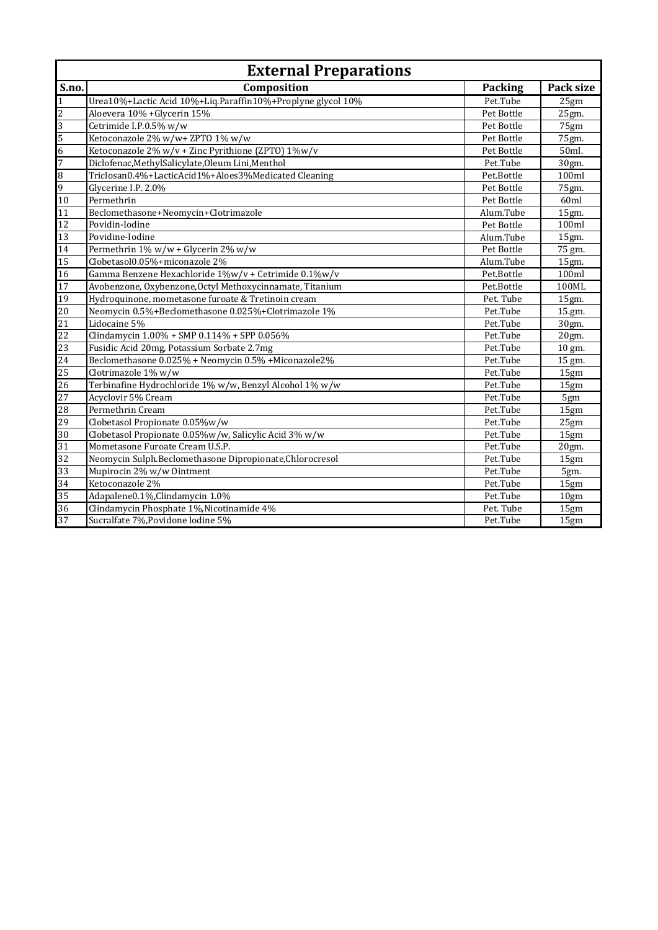|                 | <b>External Preparations</b>                                |            |           |  |
|-----------------|-------------------------------------------------------------|------------|-----------|--|
| S.no.           | Composition                                                 | Packing    | Pack size |  |
| $\overline{1}$  | Urea10%+Lactic Acid 10%+Liq.Paraffin10%+Proplyne glycol 10% | Pet.Tube   | 25gm      |  |
| $\overline{c}$  | Aloevera 10% + Glycerin 15%                                 | Pet Bottle | 25gm.     |  |
| $\overline{3}$  | Cetrimide I.P.0.5% w/w                                      | Pet Bottle | 75gm      |  |
| 5               | Ketoconazole 2% w/w+ ZPTO 1% w/w                            | Pet Bottle | 75gm.     |  |
| 6               | Ketoconazole 2% w/v + Zinc Pyrithione (ZPTO) 1%w/v          | Pet Bottle | 50ml.     |  |
| 7               | Diclofenac, Methyl Salicylate, Oleum Lini, Menthol          | Pet.Tube   | 30gm.     |  |
| $\overline{8}$  | Triclosan0.4%+LacticAcid1%+Aloes3%Medicated Cleaning        | Pet.Bottle | 100ml     |  |
| 9               | Glycerine I.P. 2.0%                                         | Pet Bottle | 75gm.     |  |
| 10              | Permethrin                                                  | Pet Bottle | 60ml      |  |
| 11              | Beclomethasone+Neomycin+Clotrimazole                        | Alum.Tube  | 15gm.     |  |
| 12              | Povidin-Iodine                                              | Pet Bottle | 100ml     |  |
| 13              | Povidine-Iodine                                             | Alum.Tube  | 15gm.     |  |
| 14              | Permethrin 1% w/w + Glycerin 2% w/w                         | Pet Bottle | 75 gm.    |  |
| 15              | Clobetasol0.05%+miconazole 2%                               | Alum.Tube  | 15gm.     |  |
| 16              | Gamma Benzene Hexachloride 1%w/v + Cetrimide 0.1%w/v        | Pet.Bottle | 100ml     |  |
| 17              | Avobenzone, Oxybenzone, Octyl Methoxycinnamate, Titanium    | Pet.Bottle | 100ML     |  |
| 19              | Hydroquinone, mometasone furoate & Tretinoin cream          | Pet. Tube  | 15gm.     |  |
| 20              | Neomycin 0.5%+Beclomethasone 0.025%+Clotrimazole 1%         | Pet.Tube   | 15.gm.    |  |
| 21              | Lidocaine 5%                                                | Pet.Tube   | 30gm.     |  |
| 22              | Clindamycin 1.00% + SMP 0.114% + SPP 0.056%                 | Pet.Tube   | 20gm.     |  |
| 23              | Fusidic Acid 20mg, Potassium Sorbate 2.7mg                  | Pet.Tube   | 10 gm.    |  |
| 24              | Beclomethasone 0.025% + Neomycin 0.5% + Miconazole2%        | Pet.Tube   | 15 gm.    |  |
| 25              | Clotrimazole 1% w/w                                         | Pet.Tube   | 15gm      |  |
| 26              | Terbinafine Hydrochloride 1% w/w, Benzyl Alcohol 1% w/w     | Pet.Tube   | 15gm      |  |
| 27              | Acyclovir 5% Cream                                          | Pet.Tube   | 5gm       |  |
| 28              | Permethrin Cream                                            | Pet.Tube   | 15gm      |  |
| 29              | Clobetasol Propionate 0.05%w/w                              | Pet.Tube   | 25gm      |  |
| 30              | Clobetasol Propionate 0.05%w/w, Salicylic Acid 3% w/w       | Pet.Tube   | 15gm      |  |
| $\overline{31}$ | Mometasone Furoate Cream U.S.P.                             | Pet.Tube   | 20gm.     |  |
| 32              | Neomycin Sulph.Beclomethasone Dipropionate, Chlorocresol    | Pet.Tube   | 15gm      |  |
| 33              | Mupirocin 2% w/w Ointment                                   | Pet.Tube   | 5gm.      |  |
| 34              | Ketoconazole 2%                                             | Pet.Tube   | 15gm      |  |
| 35              | Adapalene0.1%, Clindamycin 1.0%                             | Pet.Tube   | 10gm      |  |
| 36              | Clindamycin Phosphate 1%, Nicotinamide 4%                   | Pet. Tube  | 15gm      |  |
| 37              | Sucralfate 7%, Povidone lodine 5%                           | Pet.Tube   | 15gm      |  |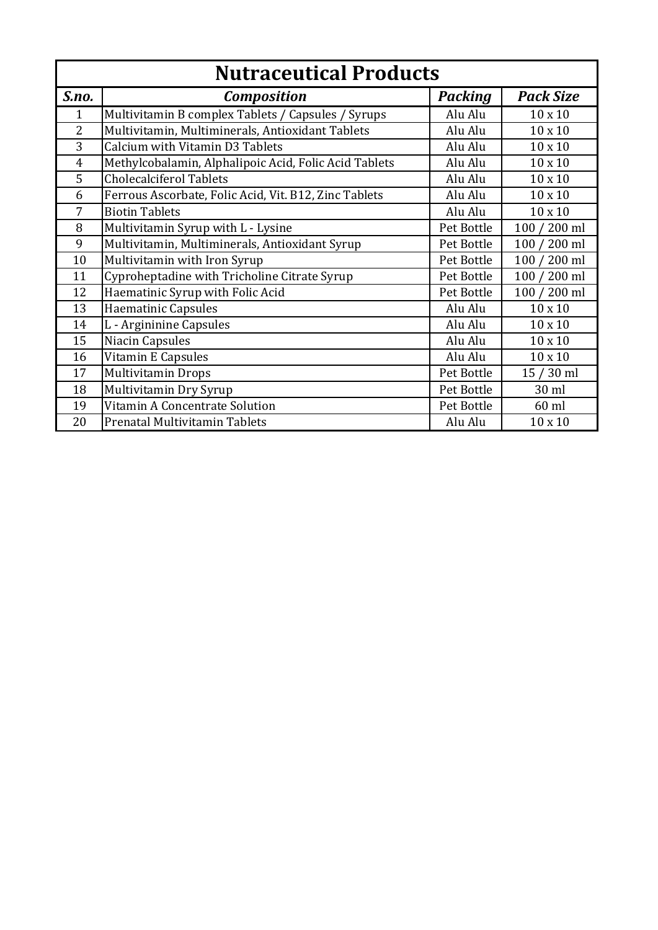| <b>Nutraceutical Products</b> |                                                       |                |                  |
|-------------------------------|-------------------------------------------------------|----------------|------------------|
| S.no.                         | <b>Composition</b>                                    | <b>Packing</b> | <b>Pack Size</b> |
| $\mathbf{1}$                  | Multivitamin B complex Tablets / Capsules / Syrups    | Alu Alu        | $10 \times 10$   |
| $\overline{2}$                | Multivitamin, Multiminerals, Antioxidant Tablets      | Alu Alu        | $10 \times 10$   |
| 3                             | Calcium with Vitamin D3 Tablets                       | Alu Alu        | $10 \times 10$   |
| $\overline{4}$                | Methylcobalamin, Alphalipoic Acid, Folic Acid Tablets | Alu Alu        | $10 \times 10$   |
| 5                             | <b>Cholecalciferol Tablets</b>                        | Alu Alu        | $10 \times 10$   |
| 6                             | Ferrous Ascorbate, Folic Acid, Vit. B12, Zinc Tablets | Alu Alu        | $10 \times 10$   |
| 7                             | <b>Biotin Tablets</b>                                 | Alu Alu        | $10 \times 10$   |
| 8                             | Multivitamin Syrup with L - Lysine                    | Pet Bottle     | 100 / 200 ml     |
| 9                             | Multivitamin, Multiminerals, Antioxidant Syrup        | Pet Bottle     | 100 / 200 ml     |
| 10                            | Multivitamin with Iron Syrup                          | Pet Bottle     | 100 / 200 ml     |
| 11                            | Cyproheptadine with Tricholine Citrate Syrup          | Pet Bottle     | 100 / 200 ml     |
| 12                            | Haematinic Syrup with Folic Acid                      | Pet Bottle     | 100 / 200 ml     |
| 13                            | Haematinic Capsules                                   | Alu Alu        | $10 \times 10$   |
| 14                            | L - Argininine Capsules                               | Alu Alu        | $10 \times 10$   |
| 15                            | Niacin Capsules                                       | Alu Alu        | $10 \times 10$   |
| 16                            | Vitamin E Capsules                                    | Alu Alu        | $10 \times 10$   |
| 17                            | <b>Multivitamin Drops</b>                             | Pet Bottle     | 15 / 30 ml       |
| 18                            | Multivitamin Dry Syrup                                | Pet Bottle     | 30 ml            |
| 19                            | Vitamin A Concentrate Solution                        | Pet Bottle     | $60$ ml          |
| 20                            | Prenatal Multivitamin Tablets                         | Alu Alu        | $10 \times 10$   |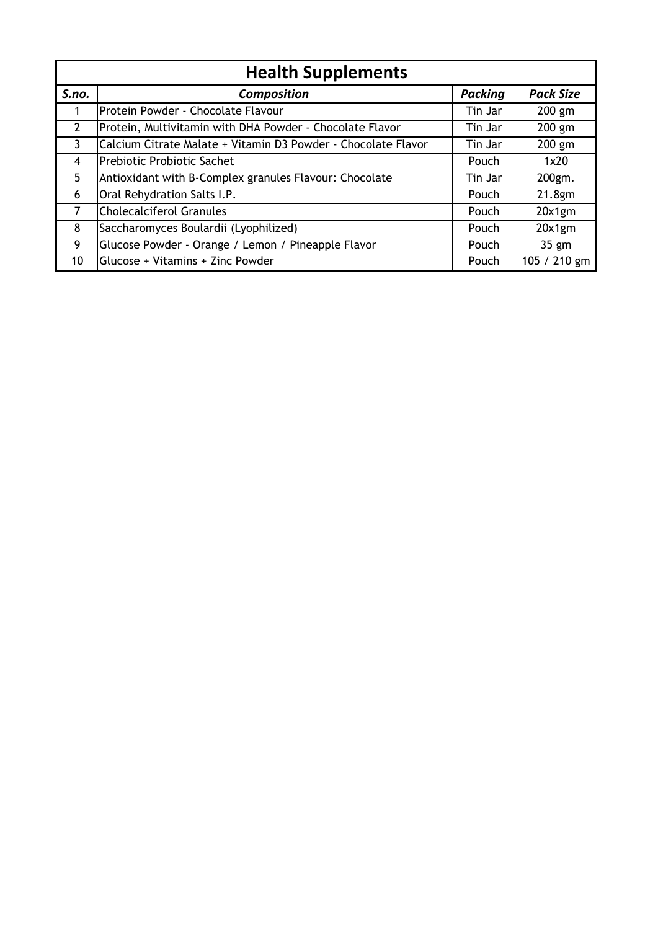| <b>Health Supplements</b> |                                                               |                |                  |
|---------------------------|---------------------------------------------------------------|----------------|------------------|
| S.no.                     | <b>Composition</b>                                            | <b>Packing</b> | <b>Pack Size</b> |
|                           | Protein Powder - Chocolate Flavour                            | Tin Jar        | $200$ gm         |
| $\overline{2}$            | Protein, Multivitamin with DHA Powder - Chocolate Flavor      | Tin Jar        | 200 gm           |
| $\mathbf{3}$              | Calcium Citrate Malate + Vitamin D3 Powder - Chocolate Flavor | Tin Jar        | 200 gm           |
| $\overline{4}$            | Prebiotic Probiotic Sachet                                    | Pouch          | 1x20             |
| 5                         | Antioxidant with B-Complex granules Flavour: Chocolate        | Tin Jar        | 200gm.           |
| 6                         | Oral Rehydration Salts I.P.                                   | Pouch          | 21.8gm           |
| $\overline{7}$            | <b>Cholecalciferol Granules</b>                               | Pouch          | 20x1gm           |
| 8                         | Saccharomyces Boulardii (Lyophilized)                         | Pouch          | 20x1gm           |
| 9                         | Glucose Powder - Orange / Lemon / Pineapple Flavor            | Pouch          | $35$ gm          |
| 10                        | Glucose + Vitamins + Zinc Powder                              | Pouch          | 105 / 210 gm     |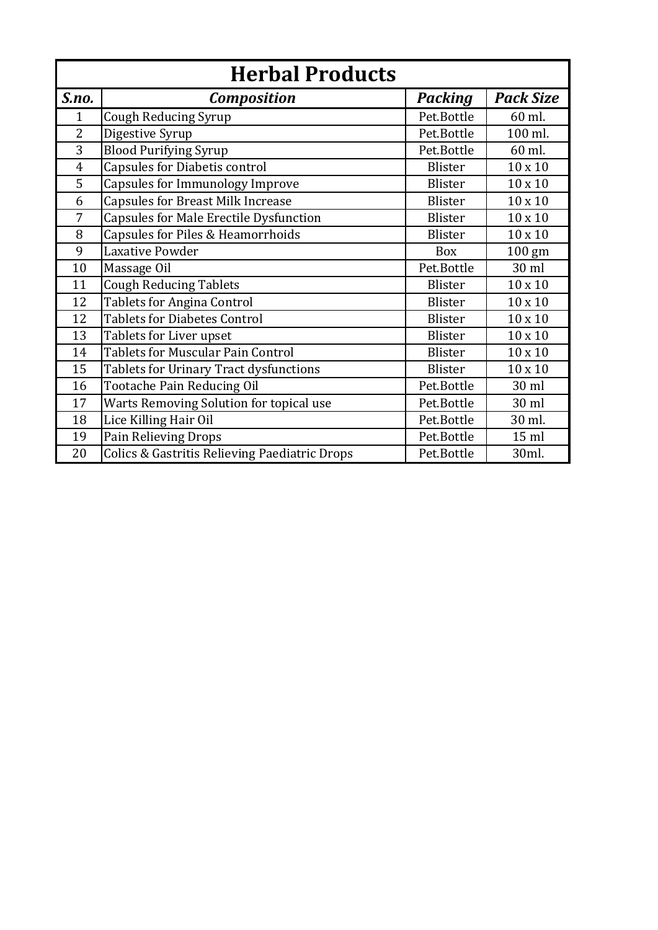| <b>Herbal Products</b> |                                               |                |                  |  |
|------------------------|-----------------------------------------------|----------------|------------------|--|
| S.no.                  | <b>Composition</b>                            | <b>Packing</b> | <b>Pack Size</b> |  |
| 1                      | <b>Cough Reducing Syrup</b>                   | Pet.Bottle     | 60 ml.           |  |
| $\overline{2}$         | Digestive Syrup                               | Pet.Bottle     | 100 ml.          |  |
| 3                      | <b>Blood Purifying Syrup</b>                  | Pet.Bottle     | 60 ml.           |  |
| $\overline{4}$         | Capsules for Diabetis control                 | <b>Blister</b> | $10 \times 10$   |  |
| 5                      | Capsules for Immunology Improve               | <b>Blister</b> | $10 \times 10$   |  |
| 6                      | <b>Capsules for Breast Milk Increase</b>      | Blister        | 10 x 10          |  |
| 7                      | <b>Capsules for Male Erectile Dysfunction</b> | Blister        | $10 \times 10$   |  |
| 8                      | Capsules for Piles & Heamorrhoids             | Blister        | $10 \times 10$   |  |
| 9                      | Laxative Powder                               | Box            | 100 gm           |  |
| 10                     | Massage Oil                                   | Pet.Bottle     | 30 ml            |  |
| 11                     | <b>Cough Reducing Tablets</b>                 | Blister        | $10 \times 10$   |  |
| 12                     | <b>Tablets for Angina Control</b>             | Blister        | $10 \times 10$   |  |
| 12                     | <b>Tablets for Diabetes Control</b>           | Blister        | $10 \times 10$   |  |
| 13                     | Tablets for Liver upset                       | Blister        | $10 \times 10$   |  |
| 14                     | <b>Tablets for Muscular Pain Control</b>      | Blister        | $10 \times 10$   |  |
| 15                     | Tablets for Urinary Tract dysfunctions        | Blister        | $10 \times 10$   |  |
| 16                     | Tootache Pain Reducing Oil                    | Pet.Bottle     | 30 ml            |  |
| 17                     | Warts Removing Solution for topical use       | Pet.Bottle     | 30 ml            |  |
| 18                     | Lice Killing Hair Oil                         | Pet.Bottle     | 30 ml.           |  |
| 19                     | Pain Relieving Drops                          | Pet.Bottle     | $15$ ml          |  |
| 20                     | Colics & Gastritis Relieving Paediatric Drops | Pet.Bottle     | 30ml.            |  |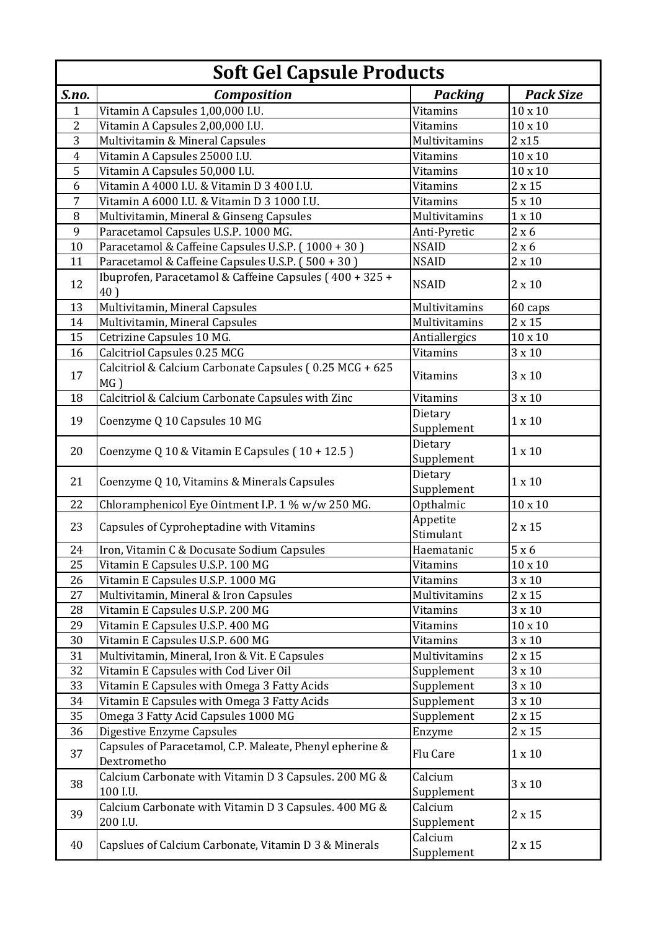|                | <b>Soft Gel Capsule Products</b>                                        |                       |                  |  |  |
|----------------|-------------------------------------------------------------------------|-----------------------|------------------|--|--|
| S.no.          | <b>Composition</b>                                                      | <b>Packing</b>        | <b>Pack Size</b> |  |  |
| 1              | Vitamin A Capsules 1,00,000 I.U.                                        | Vitamins              | $10 \times 10$   |  |  |
| 2              | Vitamin A Capsules 2,00,000 I.U.                                        | <b>Vitamins</b>       | $10 \times 10$   |  |  |
| 3              | Multivitamin & Mineral Capsules                                         | Multivitamins         | 2x15             |  |  |
| $\overline{4}$ | Vitamin A Capsules 25000 I.U.                                           | <b>Vitamins</b>       | $10 \times 10$   |  |  |
| 5              | Vitamin A Capsules 50,000 I.U.                                          | <b>Vitamins</b>       | $10 \times 10$   |  |  |
| 6              | Vitamin A 4000 I.U. & Vitamin D 3 400 I.U.                              | <b>Vitamins</b>       | $2 \times 15$    |  |  |
| 7              | Vitamin A 6000 I.U. & Vitamin D 3 1000 I.U.                             | Vitamins              | $5 \times 10$    |  |  |
| 8              | Multivitamin, Mineral & Ginseng Capsules                                | Multivitamins         | $1\times10$      |  |  |
| 9              | Paracetamol Capsules U.S.P. 1000 MG.                                    | Anti-Pyretic          | 2 x 6            |  |  |
| 10             | Paracetamol & Caffeine Capsules U.S.P. (1000 + 30)                      | <b>NSAID</b>          | 2 x 6            |  |  |
| 11             | Paracetamol & Caffeine Capsules U.S.P. (500 + 30)                       | <b>NSAID</b>          | $2 \times 10$    |  |  |
| 12             | Ibuprofen, Paracetamol & Caffeine Capsules (400 + 325 +<br>40)          | <b>NSAID</b>          | $2 \times 10$    |  |  |
| 13             | Multivitamin, Mineral Capsules                                          | Multivitamins         | 60 caps          |  |  |
| 14             | Multivitamin, Mineral Capsules                                          | Multivitamins         | $2 \times 15$    |  |  |
| 15             | Cetrizine Capsules 10 MG.                                               | Antiallergics         | $10\times10$     |  |  |
| 16             | Calcitriol Capsules 0.25 MCG                                            | <b>Vitamins</b>       | $3 \times 10$    |  |  |
| 17             | Calcitriol & Calcium Carbonate Capsules (0.25 MCG + 625<br>$MG$ )       | <b>Vitamins</b>       | $3 \times 10$    |  |  |
| 18             | Calcitriol & Calcium Carbonate Capsules with Zinc                       | <b>Vitamins</b>       | $3 \times 10$    |  |  |
| 19             | Coenzyme Q 10 Capsules 10 MG                                            | Dietary<br>Supplement | $1 \times 10$    |  |  |
| 20             | Coenzyme Q 10 & Vitamin E Capsules (10 + 12.5)                          | Dietary<br>Supplement | $1 \times 10$    |  |  |
| 21             | Coenzyme Q 10, Vitamins & Minerals Capsules                             | Dietary<br>Supplement | $1 \times 10$    |  |  |
| 22             | Chloramphenicol Eye Ointment I.P. 1 % w/w 250 MG.                       | Opthalmic             | $10 \times 10$   |  |  |
| 23             | Capsules of Cyproheptadine with Vitamins                                | Appetite<br>Stimulant | $2 \times 15$    |  |  |
| 24             | Iron, Vitamin C & Docusate Sodium Capsules                              | Haematanic            | $5 \times 6$     |  |  |
| 25             | Vitamin E Capsules U.S.P. 100 MG                                        | Vitamins              | $10\times10$     |  |  |
| 26             | Vitamin E Capsules U.S.P. 1000 MG                                       | Vitamins              | $3 \times 10$    |  |  |
| 27             | Multivitamin, Mineral & Iron Capsules                                   | Multivitamins         | $2 \times 15$    |  |  |
| 28             | Vitamin E Capsules U.S.P. 200 MG                                        | <b>Vitamins</b>       | $3 \times 10$    |  |  |
| 29             | Vitamin E Capsules U.S.P. 400 MG                                        | <b>Vitamins</b>       | $10 \times 10$   |  |  |
| 30             | Vitamin E Capsules U.S.P. 600 MG                                        | <b>Vitamins</b>       | $3 \times 10$    |  |  |
| 31             | Multivitamin, Mineral, Iron & Vit. E Capsules                           | Multivitamins         | $2 \times 15$    |  |  |
| 32             | Vitamin E Capsules with Cod Liver Oil                                   | Supplement            | $3 \times 10$    |  |  |
| 33             | Vitamin E Capsules with Omega 3 Fatty Acids                             | Supplement            | $3 \times 10$    |  |  |
| 34             | Vitamin E Capsules with Omega 3 Fatty Acids                             | Supplement            | $3 \times 10$    |  |  |
| 35             | Omega 3 Fatty Acid Capsules 1000 MG                                     | Supplement            | $2\times15$      |  |  |
| 36             | Digestive Enzyme Capsules                                               | Enzyme                | $2 \times 15$    |  |  |
| 37             | Capsules of Paracetamol, C.P. Maleate, Phenyl epherine &<br>Dextrometho | Flu Care              | $1 \times 10$    |  |  |
| 38             | Calcium Carbonate with Vitamin D 3 Capsules. 200 MG &<br>100 I.U.       | Calcium<br>Supplement | $3 \times 10$    |  |  |
| 39             | Calcium Carbonate with Vitamin D 3 Capsules. 400 MG &<br>200 I.U.       | Calcium<br>Supplement | $2 \times 15$    |  |  |
| 40             | Capslues of Calcium Carbonate, Vitamin D 3 & Minerals                   | Calcium<br>Supplement | $2 \times 15$    |  |  |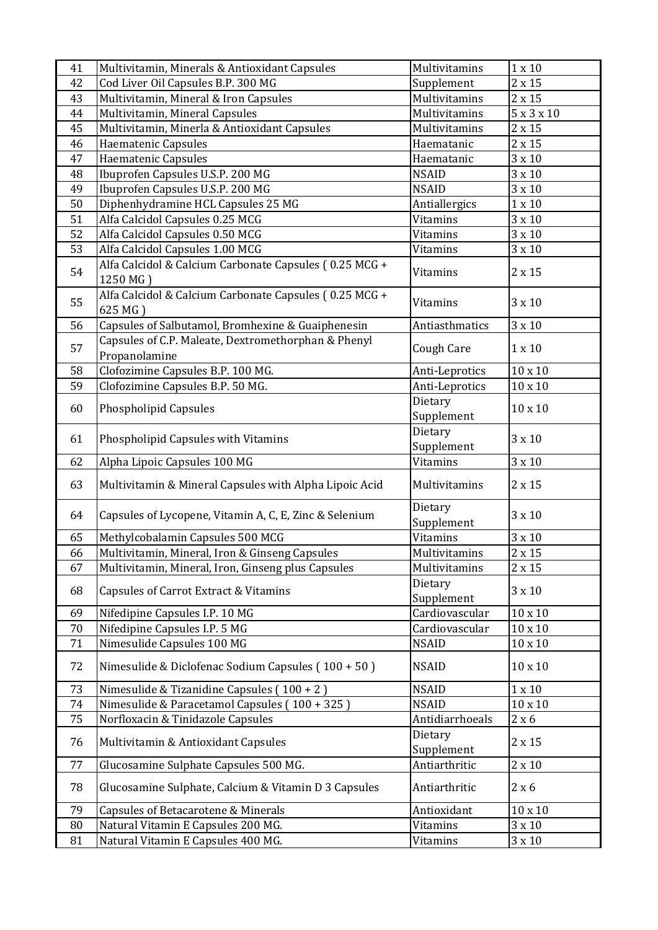| 41 | Multivitamin, Minerals & Antioxidant Capsules                        | Multivitamins         | $1 \times 10$  |
|----|----------------------------------------------------------------------|-----------------------|----------------|
| 42 | Cod Liver Oil Capsules B.P. 300 MG                                   | Supplement            | $2\times15$    |
| 43 | Multivitamin, Mineral & Iron Capsules                                | Multivitamins         | $2 \times 15$  |
| 44 | Multivitamin, Mineral Capsules                                       | Multivitamins         | 5x3x10         |
| 45 | Multivitamin, Minerla & Antioxidant Capsules                         | Multivitamins         | $2 \times 15$  |
| 46 | Haematenic Capsules                                                  | Haematanic            | $2 \times 15$  |
| 47 | Haematenic Capsules                                                  | Haematanic            | $3 \times 10$  |
| 48 | Ibuprofen Capsules U.S.P. 200 MG                                     | <b>NSAID</b>          | $3 \times 10$  |
| 49 | Ibuprofen Capsules U.S.P. 200 MG                                     | <b>NSAID</b>          | $3 \times 10$  |
| 50 | Diphenhydramine HCL Capsules 25 MG                                   | Antiallergics         | $1 \times 10$  |
| 51 | Alfa Calcidol Capsules 0.25 MCG                                      | Vitamins              | $3 \times 10$  |
| 52 | Alfa Calcidol Capsules 0.50 MCG                                      | <b>Vitamins</b>       | $3 \times 10$  |
| 53 | Alfa Calcidol Capsules 1.00 MCG                                      | <b>Vitamins</b>       | 3 x 10         |
| 54 | Alfa Calcidol & Calcium Carbonate Capsules (0.25 MCG +<br>1250 MG)   | Vitamins              | $2 \times 15$  |
| 55 | Alfa Calcidol & Calcium Carbonate Capsules (0.25 MCG +<br>625 MG)    | <b>Vitamins</b>       | 3 x 10         |
| 56 | Capsules of Salbutamol, Bromhexine & Guaiphenesin                    | Antiasthmatics        | $3 \times 10$  |
| 57 | Capsules of C.P. Maleate, Dextromethorphan & Phenyl<br>Propanolamine | Cough Care            | $1 \times 10$  |
| 58 | Clofozimine Capsules B.P. 100 MG.                                    | Anti-Leprotics        | $10 \times 10$ |
| 59 | Clofozimine Capsules B.P. 50 MG.                                     | Anti-Leprotics        | $10 \times 10$ |
| 60 | Phospholipid Capsules                                                | Dietary<br>Supplement | $10 \times 10$ |
| 61 | Phospholipid Capsules with Vitamins                                  | Dietary<br>Supplement | $3 \times 10$  |
| 62 | Alpha Lipoic Capsules 100 MG                                         | <b>Vitamins</b>       | $3 \times 10$  |
| 63 | Multivitamin & Mineral Capsules with Alpha Lipoic Acid               | Multivitamins         | $2 \times 15$  |
| 64 | Capsules of Lycopene, Vitamin A, C, E, Zinc & Selenium               | Dietary<br>Supplement | $3 \times 10$  |
| 65 | Methylcobalamin Capsules 500 MCG                                     | <b>Vitamins</b>       | $3 \times 10$  |
| 66 | Multivitamin, Mineral, Iron & Ginseng Capsules                       | Multivitamins         | $2 \times 15$  |
| 67 | Multivitamin, Mineral, Iron, Ginseng plus Capsules                   | Multivitamins         | $2 \times 15$  |
| 68 | Capsules of Carrot Extract & Vitamins                                | Dietary<br>Supplement | $3 \times 10$  |
| 69 | Nifedipine Capsules I.P. 10 MG                                       | Cardiovascular        | $10 \times 10$ |
| 70 | Nifedipine Capsules I.P. 5 MG                                        | Cardiovascular        | $10 \times 10$ |
| 71 | Nimesulide Capsules 100 MG                                           | <b>NSAID</b>          | $10 \times 10$ |
| 72 | Nimesulide & Diclofenac Sodium Capsules (100 + 50)                   | <b>NSAID</b>          | $10 \times 10$ |
| 73 | Nimesulide & Tizanidine Capsules (100 + 2)                           | <b>NSAID</b>          | $1 \times 10$  |
| 74 | Nimesulide & Paracetamol Capsules (100 + 325)                        | <b>NSAID</b>          | $10 \times 10$ |
| 75 | Norfloxacin & Tinidazole Capsules                                    | Antidiarrhoeals       | 2 x 6          |
| 76 | Multivitamin & Antioxidant Capsules                                  | Dietary<br>Supplement | $2 \times 15$  |
| 77 | Glucosamine Sulphate Capsules 500 MG.                                | Antiarthritic         | $2 \times 10$  |
| 78 | Glucosamine Sulphate, Calcium & Vitamin D 3 Capsules                 | Antiarthritic         | 2 x 6          |
| 79 | Capsules of Betacarotene & Minerals                                  | Antioxidant           | $10 \times 10$ |
| 80 | Natural Vitamin E Capsules 200 MG.                                   | <b>Vitamins</b>       | $3 \times 10$  |
|    |                                                                      |                       |                |